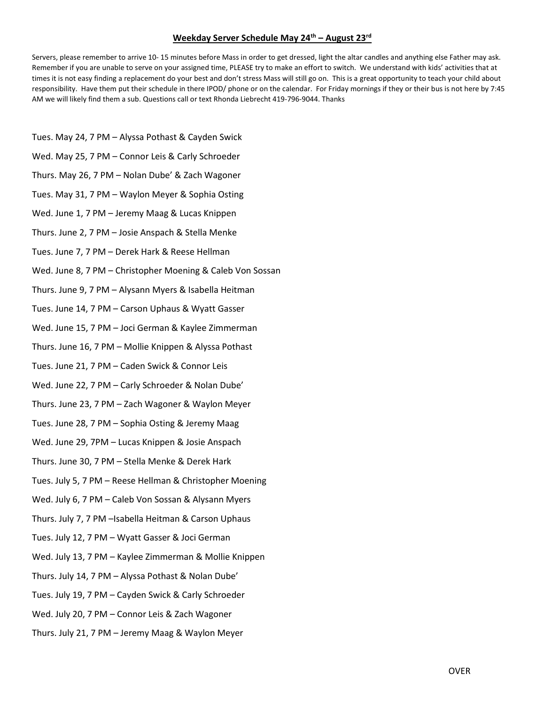## Weekday Server Schedule May 24<sup>th</sup> – August 23<sup>rd</sup>

Servers, please remember to arrive 10- 15 minutes before Mass in order to get dressed, light the altar candles and anything else Father may ask. Remember if you are unable to serve on your assigned time, PLEASE try to make an effort to switch. We understand with kids' activities that at times it is not easy finding a replacement do your best and don't stress Mass will still go on. This is a great opportunity to teach your child about responsibility. Have them put their schedule in there IPOD/ phone or on the calendar. For Friday mornings if they or their bus is not here by 7:45 AM we will likely find them a sub. Questions call or text Rhonda Liebrecht 419-796-9044. Thanks

- Tues. May 24, 7 PM Alyssa Pothast & Cayden Swick
- Wed. May 25, 7 PM Connor Leis & Carly Schroeder
- Thurs. May 26, 7 PM Nolan Dube' & Zach Wagoner
- Tues. May 31, 7 PM Waylon Meyer & Sophia Osting
- Wed. June 1, 7 PM Jeremy Maag & Lucas Knippen
- Thurs. June 2, 7 PM Josie Anspach & Stella Menke
- Tues. June 7, 7 PM Derek Hark & Reese Hellman
- Wed. June 8, 7 PM Christopher Moening & Caleb Von Sossan
- Thurs. June 9, 7 PM Alysann Myers & Isabella Heitman
- Tues. June 14, 7 PM Carson Uphaus & Wyatt Gasser
- Wed. June 15, 7 PM Joci German & Kaylee Zimmerman
- Thurs. June 16, 7 PM Mollie Knippen & Alyssa Pothast
- Tues. June 21, 7 PM Caden Swick & Connor Leis
- Wed. June 22, 7 PM Carly Schroeder & Nolan Dube'
- Thurs. June 23, 7 PM Zach Wagoner & Waylon Meyer
- Tues. June 28, 7 PM Sophia Osting & Jeremy Maag
- Wed. June 29, 7PM Lucas Knippen & Josie Anspach
- Thurs. June 30, 7 PM Stella Menke & Derek Hark
- Tues. July 5, 7 PM Reese Hellman & Christopher Moening
- Wed. July 6, 7 PM Caleb Von Sossan & Alysann Myers
- Thurs. July 7, 7 PM –Isabella Heitman & Carson Uphaus
- Tues. July 12, 7 PM Wyatt Gasser & Joci German
- Wed. July 13, 7 PM Kaylee Zimmerman & Mollie Knippen
- Thurs. July 14, 7 PM Alyssa Pothast & Nolan Dube'
- Tues. July 19, 7 PM Cayden Swick & Carly Schroeder
- Wed. July 20, 7 PM Connor Leis & Zach Wagoner
- Thurs. July 21, 7 PM Jeremy Maag & Waylon Meyer